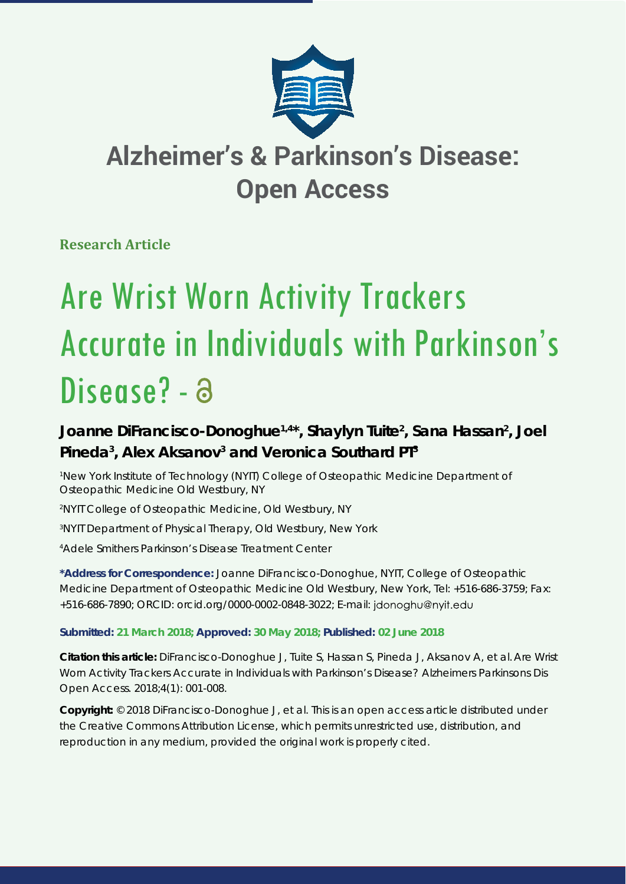

## **Alzheimer's & Parkinson's Disease: Open Access**

**Research Article**

# Are Wrist Worn Activity Trackers Accurate in Individuals with Parkinson's Disease? - a

### Joanne DiFrancisco-Donoghue<sup>1,4\*</sup>, Shaylyn Tuite<sup>2</sup>, Sana Hassan<sup>2</sup>, Joel Pineda<sup>3</sup>, Alex Aksanov<sup>3</sup> and Veronica Southard PT<sup>3</sup>

<sup>1</sup> New York Institute of Technology (NYIT) College of Osteopathic Medicine Department of *Osteopathic Medicine Old Westbury, NY*

*2 NYIT College of Osteopathic Medicine, Old Westbury, NY*

*3 NYIT Department of Physical Therapy, Old Westbury, New York*

*4 Adele Smithers Parkinson's Disease Treatment Center*

**\*Address for Correspondence:** Joanne DiFrancisco-Donoghue, NYIT, College of Osteopathic Medicine Department of Osteopathic Medicine Old Westbury, New York, Tel: +516-686-3759; Fax: +516-686-7890; ORCID: orcid.org/0000-0002-0848-3022; E-mail:

#### **Submitted: 21 March 2018; Approved: 30 May 2018; Published: 02 June 2018**

**Citation this article:** DiFrancisco-Donoghue J, Tuite S, Hassan S, Pineda J, Aksanov A, et al. Are Wrist Worn Activity Trackers Accurate in Individuals with Parkinson's Disease? Alzheimers Parkinsons Dis Open Access. 2018;4(1): 001-008.

**Copyright:** © 2018 DiFrancisco-Donoghue J, et al. This is an open access article distributed under the Creative Commons Attribution License, which permits unrestricted use, distribution, and reproduction in any medium, provided the original work is properly cited.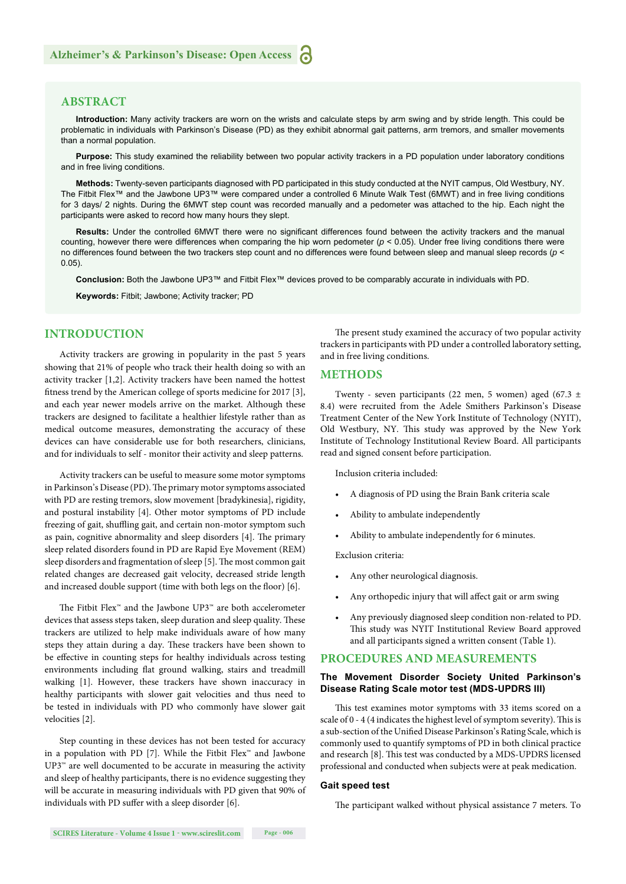#### **ABSTRACT**

**Introduction:** Many activity trackers are worn on the wrists and calculate steps by arm swing and by stride length. This could be problematic in individuals with Parkinson's Disease (PD) as they exhibit abnormal gait patterns, arm tremors, and smaller movements than a normal population.

**Purpose:** This study examined the reliability between two popular activity trackers in a PD population under laboratory conditions and in free living conditions.

**Methods:** Twenty-seven participants diagnosed with PD participated in this study conducted at the NYIT campus, Old Westbury, NY. The Fitbit Flex™ and the Jawbone UP3™ were compared under a controlled 6 Minute Walk Test (6MWT) and in free living conditions for 3 days/ 2 nights. During the 6MWT step count was recorded manually and a pedometer was attached to the hip. Each night the participants were asked to record how many hours they slept.

Results: Under the controlled 6MWT there were no significant differences found between the activity trackers and the manual counting, however there were differences when comparing the hip worn pedometer ( $p < 0.05$ ). Under free living conditions there were no differences found between the two trackers step count and no differences were found between sleep and manual sleep records (*p* < 0.05).

**Conclusion:** Both the Jawbone UP3™ and Fitbit Flex™ devices proved to be comparably accurate in individuals with PD.

**Keywords:** Fitbit; Jawbone; Activity tracker; PD

#### **INTRODUCTION**

Activity trackers are growing in popularity in the past 5 years showing that 21% of people who track their health doing so with an activity tracker [1,2]. Activity trackers have been named the hottest fitness trend by the American college of sports medicine for 2017 [3], and each year newer models arrive on the market. Although these trackers are designed to facilitate a healthier lifestyle rather than as medical outcome measures, demonstrating the accuracy of these devices can have considerable use for both researchers, clinicians, and for individuals to self - monitor their activity and sleep patterns.

Activity trackers can be useful to measure some motor symptoms in Parkinson's Disease (PD). The primary motor symptoms associated with PD are resting tremors, slow movement [bradykinesia], rigidity, and postural instability [4]. Other motor symptoms of PD include freezing of gait, shuffling gait, and certain non-motor symptom such as pain, cognitive abnormality and sleep disorders [4]. The primary sleep related disorders found in PD are Rapid Eye Movement (REM) sleep disorders and fragmentation of sleep [5]. The most common gait related changes are decreased gait velocity, decreased stride length and increased double support (time with both legs on the floor) [6].

The Fitbit Flex<sup>™</sup> and the Jawbone UP3<sup>™</sup> are both accelerometer devices that assess steps taken, sleep duration and sleep quality. These trackers are utilized to help make individuals aware of how many steps they attain during a day. These trackers have been shown to be effective in counting steps for healthy individuals across testing environments including flat ground walking, stairs and treadmill walking [1]. However, these trackers have shown inaccuracy in healthy participants with slower gait velocities and thus need to be tested in individuals with PD who commonly have slower gait velocities [2].

Step counting in these devices has not been tested for accuracy in a population with PD [7]. While the Fitbit Flex<sup>™</sup> and Jawbone UP3™ are well documented to be accurate in measuring the activity and sleep of healthy participants, there is no evidence suggesting they will be accurate in measuring individuals with PD given that 90% of individuals with PD suffer with a sleep disorder [6].

The present study examined the accuracy of two popular activity trackers in participants with PD under a controlled laboratory setting, and in free living conditions.

#### **METHODS**

Twenty - seven participants (22 men, 5 women) aged (67.3  $\pm$ 8.4) were recruited from the Adele Smithers Parkinson's Disease Treatment Center of the New York Institute of Technology (NYIT), Old Westbury, NY. This study was approved by the New York Institute of Technology Institutional Review Board. All participants read and signed consent before participation.

Inclusion criteria included:

- A diagnosis of PD using the Brain Bank criteria scale
- Ability to ambulate independently
- Ability to ambulate independently for 6 minutes.

Exclusion criteria:

- Any other neurological diagnosis.
- Any orthopedic injury that will affect gait or arm swing
- Any previously diagnosed sleep condition non-related to PD. This study was NYIT Institutional Review Board approved and all participants signed a written consent (Table 1).

#### **PROCEDURES AND MEASUREMENTS**

#### **The Movement Disorder Society United Parkinson's Disease Rating Scale motor test (MDS-UPDRS III)**

This test examines motor symptoms with 33 items scored on a scale of 0 - 4 (4 indicates the highest level of symptom severity). This is a sub-section of the Unified Disease Parkinson's Rating Scale, which is commonly used to quantify symptoms of PD in both clinical practice and research [8]. This test was conducted by a MDS-UPDRS licensed professional and conducted when subjects were at peak medication.

#### **Gait speed test**

The participant walked without physical assistance 7 meters. To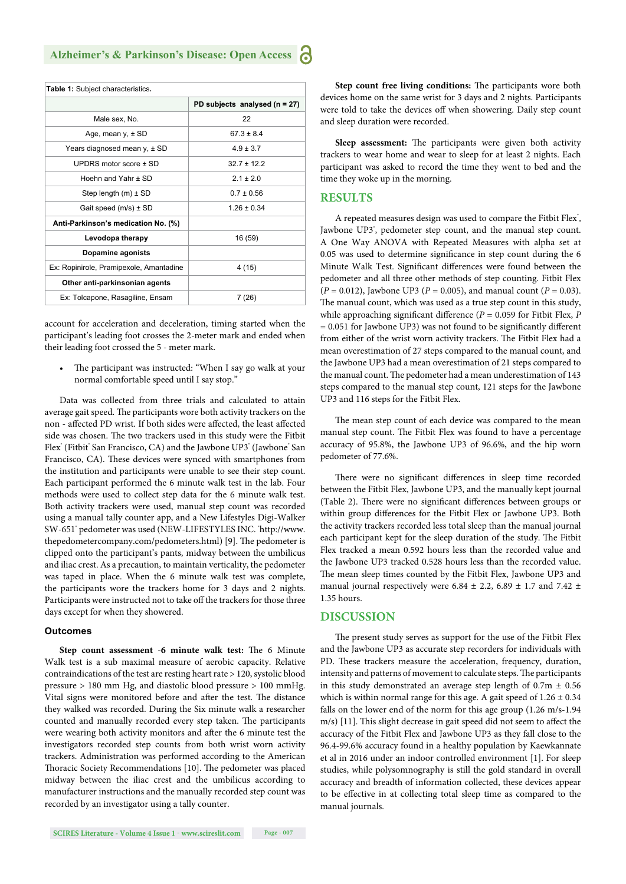| Table 1: Subject characteristics.       |                                   |  |  |  |
|-----------------------------------------|-----------------------------------|--|--|--|
|                                         | PD subjects analysed ( $n = 27$ ) |  |  |  |
| Male sex, No.                           | 22                                |  |  |  |
| Age, mean $v, \pm SD$                   | $67.3 \pm 8.4$                    |  |  |  |
| Years diagnosed mean y, ± SD            | $4.9 \pm 3.7$                     |  |  |  |
| UPDRS motor score $\pm$ SD              | $327 + 122$                       |  |  |  |
| Hoehn and Yahr + SD                     | $21 + 20$                         |  |  |  |
| Step length $(m) \pm SD$                | $0.7 \pm 0.56$                    |  |  |  |
| Gait speed $(m/s) \pm SD$               | $1.26 \pm 0.34$                   |  |  |  |
| Anti-Parkinson's medication No. (%)     |                                   |  |  |  |
| Levodopa therapy                        | 16 (59)                           |  |  |  |
| Dopamine agonists                       |                                   |  |  |  |
| Ex: Ropinirole, Pramipexole, Amantadine | 4 (15)                            |  |  |  |
| Other anti-parkinsonian agents          |                                   |  |  |  |
| Ex: Tolcapone, Rasagiline, Ensam        | 7 (26)                            |  |  |  |

account for acceleration and deceleration, timing started when the participant's leading foot crosses the 2-meter mark and ended when their leading foot crossed the 5 - meter mark.

The participant was instructed: "When I say go walk at your normal comfortable speed until I say stop."

Data was collected from three trials and calculated to attain average gait speed. The participants wore both activity trackers on the non - affected PD wrist. If both sides were affected, the least affected side was chosen. The two trackers used in this study were the Fitbit Flex" (Fitbit" San Francisco, CA) and the Jawbone UP3" (Jawbone" San Francisco, CA). These devices were synced with smartphones from the institution and participants were unable to see their step count. Each participant performed the 6 minute walk test in the lab. Four methods were used to collect step data for the 6 minute walk test. Both activity trackers were used, manual step count was recorded using a manual tally counter app, and a New Lifestyles Digi-Walker SW-651° pedometer was used (NEW-LIFESTYLES INC. °http://www. thepedometercompany.com/pedometers.html) [9]. The pedometer is clipped onto the participant's pants, midway between the umbilicus and iliac crest. As a precaution, to maintain verticality, the pedometer was taped in place. When the 6 minute walk test was complete, the participants wore the trackers home for 3 days and 2 nights. Participants were instructed not to take off the trackers for those three days except for when they showered.

#### **Outcomes**

**Step count assessment -6 minute walk test:** The 6 Minute Walk test is a sub maximal measure of aerobic capacity. Relative contraindications of the test are resting heart rate > 120, systolic blood pressure > 180 mm Hg, and diastolic blood pressure > 100 mmHg. Vital signs were monitored before and after the test. The distance they walked was recorded. During the Six minute walk a researcher counted and manually recorded every step taken. The participants were wearing both activity monitors and after the 6 minute test the investigators recorded step counts from both wrist worn activity trackers. Administration was performed according to the American Thoracic Society Recommendations [10]. The pedometer was placed midway between the iliac crest and the umbilicus according to manufacturer instructions and the manually recorded step count was recorded by an investigator using a tally counter.

Step count free living conditions: The participants wore both devices home on the same wrist for 3 days and 2 nights. Participants were told to take the devices off when showering. Daily step count and sleep duration were recorded.

Sleep assessment: The participants were given both activity trackers to wear home and wear to sleep for at least 2 nights. Each participant was asked to record the time they went to bed and the time they woke up in the morning.

#### **RESULTS**

A repeated measures design was used to compare the Fitbit Flex', Jawbone UP3', pedometer step count, and the manual step count. A One Way ANOVA with Repeated Measures with alpha set at 0.05 was used to determine significance in step count during the 6 Minute Walk Test. Significant differences were found between the pedometer and all three other methods of step counting. Fitbit Flex (*P* = 0.012), Jawbone UP3 (*P* = 0.005), and manual count (*P* = 0.03). The manual count, which was used as a true step count in this study, while approaching significant difference ( $P = 0.059$  for Fitbit Flex,  $P$  $= 0.051$  for Jawbone UP3) was not found to be significantly different from either of the wrist worn activity trackers. The Fitbit Flex had a mean overestimation of 27 steps compared to the manual count, and the Jawbone UP3 had a mean overestimation of 21 steps compared to the manual count. The pedometer had a mean underestimation of 143 steps compared to the manual step count, 121 steps for the Jawbone UP3 and 116 steps for the Fitbit Flex.

The mean step count of each device was compared to the mean manual step count. The Fitbit Flex was found to have a percentage accuracy of 95.8%, the Jawbone UP3 of 96.6%, and the hip worn pedometer of 77.6%.

There were no significant differences in sleep time recorded between the Fitbit Flex, Jawbone UP3, and the manually kept journal (Table 2). There were no significant differences between groups or within group differences for the Fitbit Flex or Jawbone UP3. Both the activity trackers recorded less total sleep than the manual journal each participant kept for the sleep duration of the study. The Fitbit Flex tracked a mean 0.592 hours less than the recorded value and the Jawbone UP3 tracked 0.528 hours less than the recorded value. The mean sleep times counted by the Fitbit Flex, Jawbone UP3 and manual journal respectively were 6.84  $\pm$  2.2, 6.89  $\pm$  1.7 and 7.42  $\pm$ 1.35 hours.

#### **DISCUSSION**

The present study serves as support for the use of the Fitbit Flex and the Jawbone UP3 as accurate step recorders for individuals with PD. These trackers measure the acceleration, frequency, duration, intensity and patterns of movement to calculate steps. The participants in this study demonstrated an average step length of  $0.7m \pm 0.56$ which is within normal range for this age. A gait speed of  $1.26 \pm 0.34$ falls on the lower end of the norm for this age group (1.26 m/s-1.94 m/s) [11]. This slight decrease in gait speed did not seem to affect the accuracy of the Fitbit Flex and Jawbone UP3 as they fall close to the 96.4-99.6% accuracy found in a healthy population by Kaewkannate et al in 2016 under an indoor controlled environment [1]. For sleep studies, while polysomnography is still the gold standard in overall accuracy and breadth of information collected, these devices appear to be effective in at collecting total sleep time as compared to the manual journals.